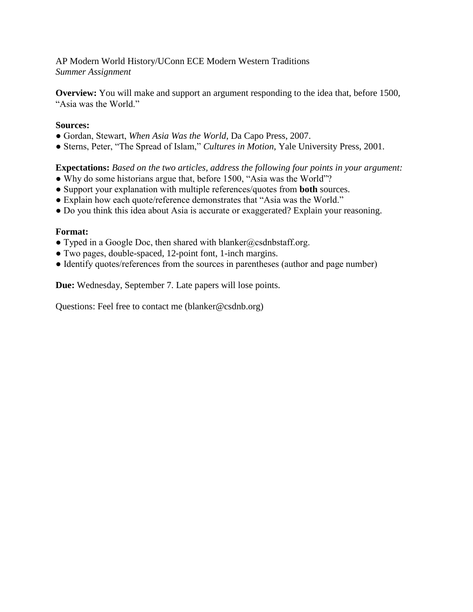### AP Modern World History/UConn ECE Modern Western Traditions *Summer Assignment*

**Overview:** You will make and support an argument responding to the idea that, before 1500, "Asia was the World."

### **Sources:**

- Gordan, Stewart, *When Asia Was the World*, Da Capo Press, 2007.
- Sterns, Peter, "The Spread of Islam," *Cultures in Motion*, Yale University Press, 2001.

### **Expectations:** *Based on the two articles, address the following four points in your argument:*

- Why do some historians argue that, before 1500, "Asia was the World"?
- Support your explanation with multiple references/quotes from **both** sources.
- Explain how each quote/reference demonstrates that "Asia was the World."
- Do you think this idea about Asia is accurate or exaggerated? Explain your reasoning.

### **Format:**

- Typed in a Google Doc, then shared with blanker@csdnbstaff.org.
- Two pages, double-spaced, 12-point font, 1-inch margins.
- Identify quotes/references from the sources in parentheses (author and page number)

**Due:** Wednesday, September 7. Late papers will lose points.

Questions: Feel free to contact me (blanker@csdnb.org)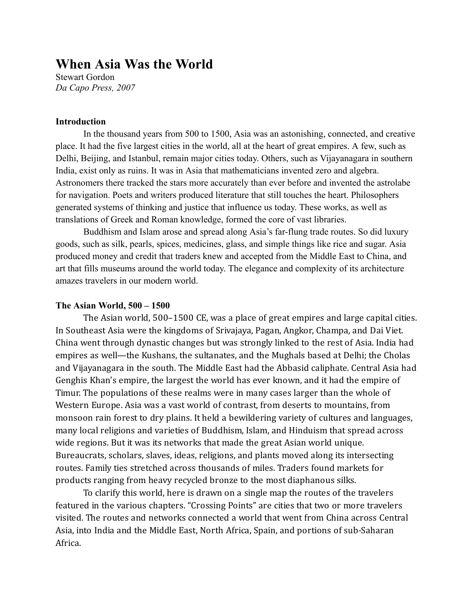### **When Asia Was the World**

Stewart Gordon *Da Capo Press, 2007*

### **Introduction**

In the thousand years from 500 to 1500, Asia was an astonishing, connected, and creative place. It had the five largest cities in the world, all at the heart of great empires. A few, such as Delhi, Beijing, and Istanbul, remain major cities today. Others, such as Vijayanagara in southern India, exist only as ruins. It was in Asia that mathematicians invented zero and algebra. Astronomers there tracked the stars more accurately than ever before and invented the astrolabe for navigation. Poets and writers produced literature that still touches the heart. Philosophers generated systems of thinking and justice that influence us today. These works, as well as translations of Greek and Roman knowledge, formed the core of vast libraries.

Buddhism and Islam arose and spread along Asia's far-flung trade routes. So did luxury goods, such as silk, pearls, spices, medicines, glass, and simple things like rice and sugar. Asia produced money and credit that traders knew and accepted from the Middle East to China, and art that fills museums around the world today. The elegance and complexity of its architecture amazes travelers in our modern world.

### **The Asian World, 500 – 1500**

The Asian world, 500–1500 CE, was a place of great empires and large capital cities. In Southeast Asia were the kingdoms of Srivajaya, Pagan, Angkor, Champa, and Dai Viet. China went through dynastic changes but was strongly linked to the rest of Asia. India had empires as well—the Kushans, the sultanates, and the Mughals based at Delhi; the Cholas and Vijayanagara in the south. The Middle East had the Abbasid caliphate. Central Asia had Genghis Khan's empire, the largest the world has ever known, and it had the empire of Timur. The populations of these realms were in many cases larger than the whole of Western Europe. Asia was a vast world of contrast, from deserts to mountains, from monsoon rain forest to dry plains. It held a bewildering variety of cultures and languages, many local religions and varieties of Buddhism, Islam, and Hinduism that spread across wide regions. But it was its networks that made the great Asian world unique. Bureaucrats, scholars, slaves, ideas, religions, and plants moved along its intersecting routes. Family ties stretched across thousands of miles. Traders found markets for products ranging from heavy recycled bronze to the most diaphanous silks.

To clarify this world, here is drawn on a single map the routes of the travelers featured in the various chapters. "Crossing Points" are cities that two or more travelers visited. The routes and networks connected a world that went from China across Central Asia, into India and the Middle East, North Africa, Spain, and portions of sub-Saharan Africa.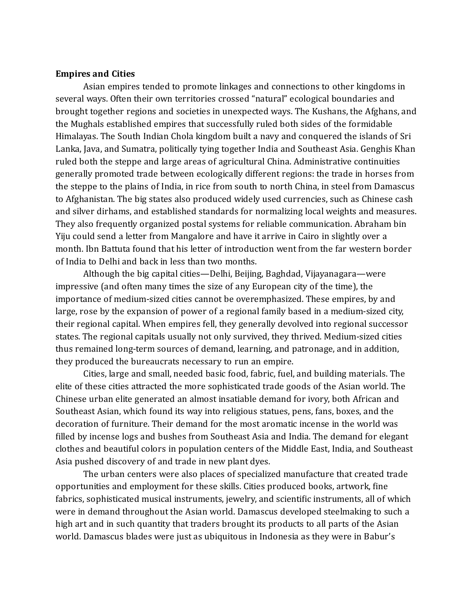### **Empires and Cities**

Asian empires tended to promote linkages and connections to other kingdoms in several ways. Often their own territories crossed "natural" ecological boundaries and brought together regions and societies in unexpected ways. The Kushans, the Afghans, and the Mughals established empires that successfully ruled both sides of the formidable Himalayas. The South Indian Chola kingdom built a navy and conquered the islands of Sri Lanka, Java, and Sumatra, politically tying together India and Southeast Asia. Genghis Khan ruled both the steppe and large areas of agricultural China. Administrative continuities generally promoted trade between ecologically different regions: the trade in horses from the steppe to the plains of India, in rice from south to north China, in steel from Damascus to Afghanistan. The big states also produced widely used currencies, such as Chinese cash and silver dirhams, and established standards for normalizing local weights and measures. They also frequently organized postal systems for reliable communication. Abraham bin Yiju could send a letter from Mangalore and have it arrive in Cairo in slightly over a month. Ibn Battuta found that his letter of introduction went from the far western border of India to Delhi and back in less than two months.

Although the big capital cities—Delhi, Beijing, Baghdad, Vijayanagara—were impressive (and often many times the size of any European city of the time), the importance of medium-sized cities cannot be overemphasized. These empires, by and large, rose by the expansion of power of a regional family based in a medium-sized city, their regional capital. When empires fell, they generally devolved into regional successor states. The regional capitals usually not only survived, they thrived. Medium-sized cities thus remained long-term sources of demand, learning, and patronage, and in addition, they produced the bureaucrats necessary to run an empire.

Cities, large and small, needed basic food, fabric, fuel, and building materials. The elite of these cities attracted the more sophisticated trade goods of the Asian world. The Chinese urban elite generated an almost insatiable demand for ivory, both African and Southeast Asian, which found its way into religious statues, pens, fans, boxes, and the decoration of furniture. Their demand for the most aromatic incense in the world was filled by incense logs and bushes from Southeast Asia and India. The demand for elegant clothes and beautiful colors in population centers of the Middle East, India, and Southeast Asia pushed discovery of and trade in new plant dyes.

The urban centers were also places of specialized manufacture that created trade opportunities and employment for these skills. Cities produced books, artwork, ine fabrics, sophisticated musical instruments, jewelry, and scientiic instruments, all of which were in demand throughout the Asian world. Damascus developed steelmaking to such a high art and in such quantity that traders brought its products to all parts of the Asian world. Damascus blades were just as ubiquitous in Indonesia as they were in Babur's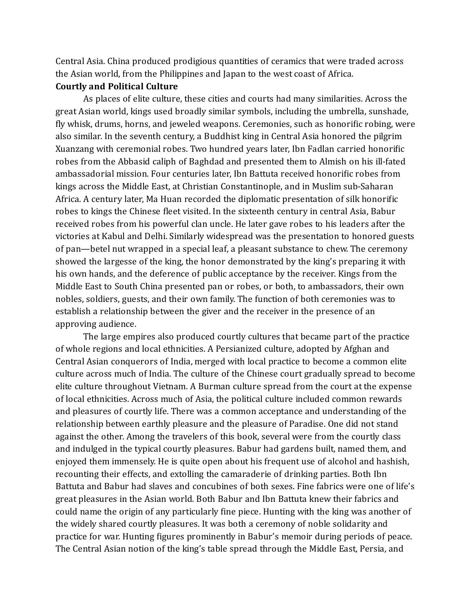Central Asia. China produced prodigious quantities of ceramics that were traded across the Asian world, from the Philippines and Japan to the west coast of Africa. **Courtly and Political Culture**

As places of elite culture, these cities and courts had many similarities. Across the great Asian world, kings used broadly similar symbols, including the umbrella, sunshade, fly whisk, drums, horns, and jeweled weapons. Ceremonies, such as honorific robing, were also similar. In the seventh century, a Buddhist king in Central Asia honored the pilgrim Xuanzang with ceremonial robes. Two hundred years later, Ibn Fadlan carried honoriic robes from the Abbasid caliph of Baghdad and presented them to Almish on his ill-fated ambassadorial mission. Four centuries later, Ibn Battuta received honorific robes from kings across the Middle East, at Christian Constantinople, and in Muslim sub-Saharan Africa. A century later, Ma Huan recorded the diplomatic presentation of silk honoriic robes to kings the Chinese fleet visited. In the sixteenth century in central Asia, Babur received robes from his powerful clan uncle. He later gave robes to his leaders after the victories at Kabul and Delhi. Similarly widespread was the presentation to honored guests of pan—betel nut wrapped in a special leaf, a pleasant substance to chew. The ceremony showed the largesse of the king, the honor demonstrated by the king's preparing it with his own hands, and the deference of public acceptance by the receiver. Kings from the Middle East to South China presented pan or robes, or both, to ambassadors, their own nobles, soldiers, guests, and their own family. The function of both ceremonies was to establish a relationship between the giver and the receiver in the presence of an approving audience.

The large empires also produced courtly cultures that became part of the practice of whole regions and local ethnicities. A Persianized culture, adopted by Afghan and Central Asian conquerors of India, merged with local practice to become a common elite culture across much of India. The culture of the Chinese court gradually spread to become elite culture throughout Vietnam. A Burman culture spread from the court at the expense of local ethnicities. Across much of Asia, the political culture included common rewards and pleasures of courtly life. There was a common acceptance and understanding of the relationship between earthly pleasure and the pleasure of Paradise. One did not stand against the other. Among the travelers of this book, several were from the courtly class and indulged in the typical courtly pleasures. Babur had gardens built, named them, and enjoyed them immensely. He is quite open about his frequent use of alcohol and hashish, recounting their effects, and extolling the camaraderie of drinking parties. Both Ibn Battuta and Babur had slaves and concubines of both sexes. Fine fabrics were one of life's great pleasures in the Asian world. Both Babur and Ibn Battuta knew their fabrics and could name the origin of any particularly ine piece. Hunting with the king was another of the widely shared courtly pleasures. It was both a ceremony of noble solidarity and practice for war. Hunting igures prominently in Babur's memoir during periods of peace. The Central Asian notion of the king's table spread through the Middle East, Persia, and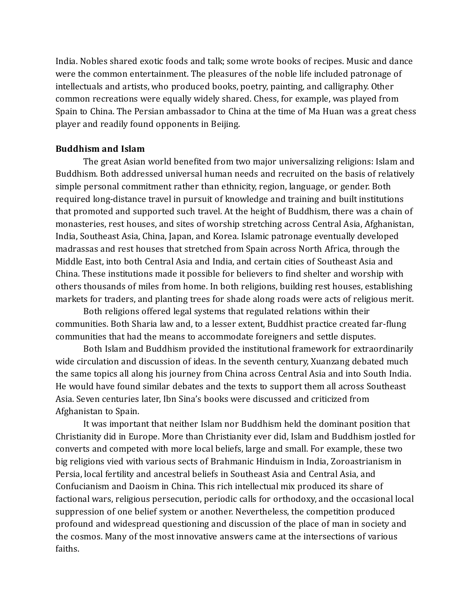India. Nobles shared exotic foods and talk; some wrote books of recipes. Music and dance were the common entertainment. The pleasures of the noble life included patronage of intellectuals and artists, who produced books, poetry, painting, and calligraphy. Other common recreations were equally widely shared. Chess, for example, was played from Spain to China. The Persian ambassador to China at the time of Ma Huan was a great chess player and readily found opponents in Beijing.

### **Buddhism and Islam**

The great Asian world benefited from two major universalizing religions: Islam and Buddhism. Both addressed universal human needs and recruited on the basis of relatively simple personal commitment rather than ethnicity, region, language, or gender. Both required long-distance travel in pursuit of knowledge and training and built institutions that promoted and supported such travel. At the height of Buddhism, there was a chain of monasteries, rest houses, and sites of worship stretching across Central Asia, Afghanistan, India, Southeast Asia, China, Japan, and Korea. Islamic patronage eventually developed madrassas and rest houses that stretched from Spain across North Africa, through the Middle East, into both Central Asia and India, and certain cities of Southeast Asia and China. These institutions made it possible for believers to ind shelter and worship with others thousands of miles from home. In both religions, building rest houses, establishing markets for traders, and planting trees for shade along roads were acts of religious merit.

Both religions offered legal systems that regulated relations within their communities. Both Sharia law and, to a lesser extent, Buddhist practice created far-lung communities that had the means to accommodate foreigners and settle disputes.

Both Islam and Buddhism provided the institutional framework for extraordinarily wide circulation and discussion of ideas. In the seventh century, Xuanzang debated much the same topics all along his journey from China across Central Asia and into South India. He would have found similar debates and the texts to support them all across Southeast Asia. Seven centuries later, Ibn Sina's books were discussed and criticized from Afghanistan to Spain.

It was important that neither Islam nor Buddhism held the dominant position that Christianity did in Europe. More than Christianity ever did, Islam and Buddhism jostled for converts and competed with more local beliefs, large and small. For example, these two big religions vied with various sects of Brahmanic Hinduism in India, Zoroastrianism in Persia, local fertility and ancestral beliefs in Southeast Asia and Central Asia, and Confucianism and Daoism in China. This rich intellectual mix produced its share of factional wars, religious persecution, periodic calls for orthodoxy, and the occasional local suppression of one belief system or another. Nevertheless, the competition produced profound and widespread questioning and discussion of the place of man in society and the cosmos. Many of the most innovative answers came at the intersections of various faiths.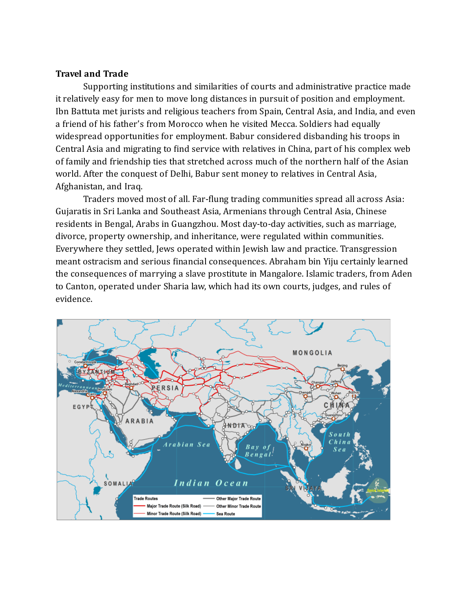### **Travel and Trade**

Supporting institutions and similarities of courts and administrative practice made it relatively easy for men to move long distances in pursuit of position and employment. Ibn Battuta met jurists and religious teachers from Spain, Central Asia, and India, and even a friend of his father's from Morocco when he visited Mecca. Soldiers had equally widespread opportunities for employment. Babur considered disbanding his troops in Central Asia and migrating to find service with relatives in China, part of his complex web of family and friendship ties that stretched across much of the northern half of the Asian world. After the conquest of Delhi, Babur sent money to relatives in Central Asia, Afghanistan, and Iraq.

Traders moved most of all. Far-lung trading communities spread all across Asia: Gujaratis in Sri Lanka and Southeast Asia, Armenians through Central Asia, Chinese residents in Bengal, Arabs in Guangzhou. Most day-to-day activities, such as marriage, divorce, property ownership, and inheritance, were regulated within communities. Everywhere they settled, Jews operated within Jewish law and practice. Transgression meant ostracism and serious financial consequences. Abraham bin Yiju certainly learned the consequences of marrying a slave prostitute in Mangalore. Islamic traders, from Aden to Canton, operated under Sharia law, which had its own courts, judges, and rules of evidence.

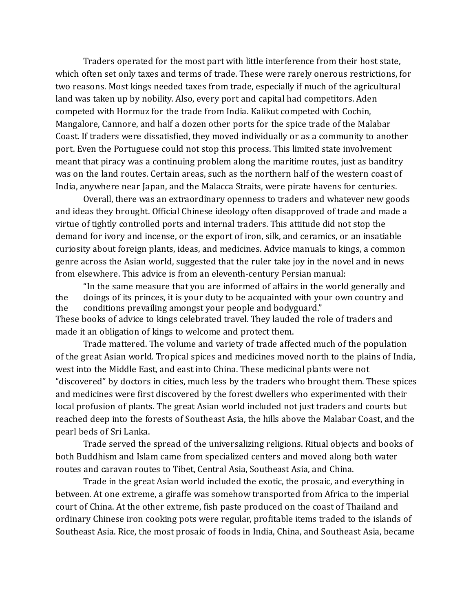Traders operated for the most part with little interference from their host state, which often set only taxes and terms of trade. These were rarely onerous restrictions, for two reasons. Most kings needed taxes from trade, especially if much of the agricultural land was taken up by nobility. Also, every port and capital had competitors. Aden competed with Hormuz for the trade from India. Kalikut competed with Cochin, Mangalore, Cannore, and half a dozen other ports for the spice trade of the Malabar Coast. If traders were dissatisied, they moved individually or as a community to another port. Even the Portuguese could not stop this process. This limited state involvement meant that piracy was a continuing problem along the maritime routes, just as banditry was on the land routes. Certain areas, such as the northern half of the western coast of India, anywhere near Japan, and the Malacca Straits, were pirate havens for centuries.

Overall, there was an extraordinary openness to traders and whatever new goods and ideas they brought. Oficial Chinese ideology often disapproved of trade and made a virtue of tightly controlled ports and internal traders. This attitude did not stop the demand for ivory and incense, or the export of iron, silk, and ceramics, or an insatiable curiosity about foreign plants, ideas, and medicines. Advice manuals to kings, a common genre across the Asian world, suggested that the ruler take joy in the novel and in news from elsewhere. This advice is from an eleventh-century Persian manual:

"In the same measure that you are informed of affairs in the world generally and the doings of its princes, it is your duty to be acquainted with your own country and the conditions prevailing amongst your people and bodyguard." These books of advice to kings celebrated travel. They lauded the role of traders and made it an obligation of kings to welcome and protect them.

Trade mattered. The volume and variety of trade affected much of the population of the great Asian world. Tropical spices and medicines moved north to the plains of India, west into the Middle East, and east into China. These medicinal plants were not "discovered" by doctors in cities, much less by the traders who brought them. These spices and medicines were irst discovered by the forest dwellers who experimented with their local profusion of plants. The great Asian world included not just traders and courts but reached deep into the forests of Southeast Asia, the hills above the Malabar Coast, and the pearl beds of Sri Lanka.

Trade served the spread of the universalizing religions. Ritual objects and books of both Buddhism and Islam came from specialized centers and moved along both water routes and caravan routes to Tibet, Central Asia, Southeast Asia, and China.

Trade in the great Asian world included the exotic, the prosaic, and everything in between. At one extreme, a giraffe was somehow transported from Africa to the imperial court of China. At the other extreme, ish paste produced on the coast of Thailand and ordinary Chinese iron cooking pots were regular, profitable items traded to the islands of Southeast Asia. Rice, the most prosaic of foods in India, China, and Southeast Asia, became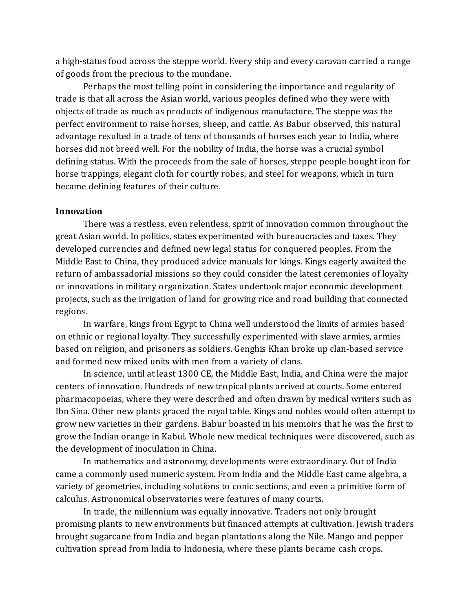a high-status food across the steppe world. Every ship and every caravan carried a range of goods from the precious to the mundane.

Perhaps the most telling point in considering the importance and regularity of trade is that all across the Asian world, various peoples deined who they were with objects of trade as much as products of indigenous manufacture. The steppe was the perfect environment to raise horses, sheep, and cattle. As Babur observed, this natural advantage resulted in a trade of tens of thousands of horses each year to India, where horses did not breed well. For the nobility of India, the horse was a crucial symbol defining status. With the proceeds from the sale of horses, steppe people bought iron for horse trappings, elegant cloth for courtly robes, and steel for weapons, which in turn became defining features of their culture.

### **Innovation**

There was a restless, even relentless, spirit of innovation common throughout the great Asian world. In politics, states experimented with bureaucracies and taxes. They developed currencies and deined new legal status for conquered peoples. From the Middle East to China, they produced advice manuals for kings. Kings eagerly awaited the return of ambassadorial missions so they could consider the latest ceremonies of loyalty or innovations in military organization. States undertook major economic development projects, such as the irrigation of land for growing rice and road building that connected regions.

In warfare, kings from Egypt to China well understood the limits of armies based on ethnic or regional loyalty. They successfully experimented with slave armies, armies based on religion, and prisoners as soldiers. Genghis Khan broke up clan-based service and formed new mixed units with men from a variety of clans.

In science, until at least 1300 CE, the Middle East, India, and China were the major centers of innovation. Hundreds of new tropical plants arrived at courts. Some entered pharmacopoeias, where they were described and often drawn by medical writers such as Ibn Sina. Other new plants graced the royal table. Kings and nobles would often attempt to grow new varieties in their gardens. Babur boasted in his memoirs that he was the irst to grow the Indian orange in Kabul. Whole new medical techniques were discovered, such as the development of inoculation in China.

In mathematics and astronomy, developments were extraordinary. Out of India came a commonly used numeric system. From India and the Middle East came algebra, a variety of geometries, including solutions to conic sections, and even a primitive form of calculus. Astronomical observatories were features of many courts.

In trade, the millennium was equally innovative. Traders not only brought promising plants to new environments but inanced attempts at cultivation. Jewish traders brought sugarcane from India and began plantations along the Nile. Mango and pepper cultivation spread from India to Indonesia, where these plants became cash crops.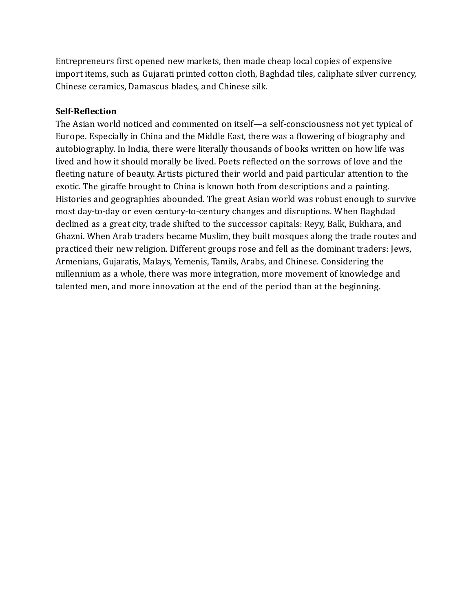Entrepreneurs irst opened new markets, then made cheap local copies of expensive import items, such as Gujarati printed cotton cloth, Baghdad tiles, caliphate silver currency, Chinese ceramics, Damascus blades, and Chinese silk.

### **Self-Relection**

The Asian world noticed and commented on itself—a self-consciousness not yet typical of Europe. Especially in China and the Middle East, there was a flowering of biography and autobiography. In India, there were literally thousands of books written on how life was lived and how it should morally be lived. Poets reflected on the sorrows of love and the leeting nature of beauty. Artists pictured their world and paid particular attention to the exotic. The giraffe brought to China is known both from descriptions and a painting. Histories and geographies abounded. The great Asian world was robust enough to survive most day-to-day or even century-to-century changes and disruptions. When Baghdad declined as a great city, trade shifted to the successor capitals: Reyy, Balk, Bukhara, and Ghazni. When Arab traders became Muslim, they built mosques along the trade routes and practiced their new religion. Different groups rose and fell as the dominant traders: Jews, Armenians, Gujaratis, Malays, Yemenis, Tamils, Arabs, and Chinese. Considering the millennium as a whole, there was more integration, more movement of knowledge and talented men, and more innovation at the end of the period than at the beginning.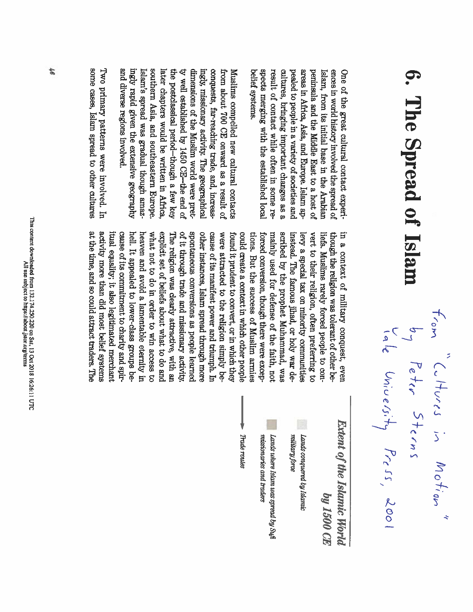# 6. The Spread of Islam

From Cultures in Motion L'ale University Press, 2001 by Peter Sterns

belief systems. spects merging with the established local result of contact while often in some recultures, bringing important changes as a pealed to people in a variety of societies and areas in Africa, Asia, and Europe. Islam appeninsula and the Middle East to a host of Islam, from its initial base in the Arabian ences in world history involved the spread of One of the great cultural contact experi-

and diverse regions involved ingly rapid given the extensive geography islam's spread was gradual though amazsouthern Asia, and southeastern Europe. later chapters would be written in Africa, the postclassical period-though a few key ty well established by 1450 CE-the end of dimensions of the Muslim world were pretingly, missionary activity. The geographical conquests, far-reaching trade, and, increasfrom about 700 CE onward as a result of Muslims compelled new cultural contacts

some cases, Islam spread to other cultures Two primary patterns were involved. In

at the time, and so could attract traders. The activity more than did most belief systems cause of its commitment to charity and spirhell. It appealed to lower-class groups beheaven and avoid a lamentable eternity in what not to do in order to win access to explicit set of beliefs about what to do and of it through trade and missionary activity, spontaneous conversions as people learned other instances, Islam spread through more cause of its manifest power and triumph. In mainly used for defense of the faith, not scribed by the prophet Muhammad, was itual equality; it also legitimated merchant The religion was clearly attractive, with an were attracted to the religion simply befound it prudent to convert, or in which they could create a context in which other people tions. But the success of Muslim armies forced conversion, though there were excepinstead. The famous jihad, or holy war devert to their religion, often preferring to liefs. Muslims rarely forced people to conthough the religion was tolerant of other bein a context of military conquest, even levy a special tax on minority communities

> Extent of the Islamic World **By 1500 CE**

Lands conquered by Islamic

sanof Rantituu

missionaries and traders Lands where Islam was spread by Suft

Trade roules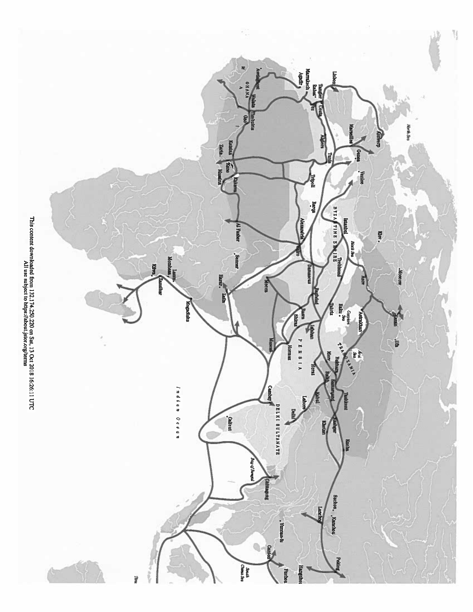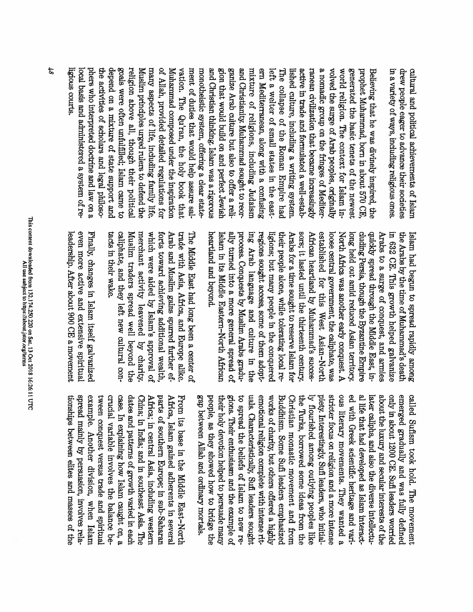in a variety of ways, including religious ones drew people eager to advance their societies cultural and political achievements of Islam

goals were often unfulfilled; Islam came to religion above all, though their political vation. The Qu'ran, the holy book that phers who interpreted dockrine and law on a the activities of scholars and legal philosodepend on a mixture of state support and many aspects of life, including family life. of Allah, provided detailed regulations for ment of duties that would help assure salmonotheistic system, offering a clear stateand Christian thinking. Islam was a rigorous gion that would build on and perfect Jewish and Christianity. Muhammad sought to reormixture of religions, including Judaism active in trade and formulated a well-estaba nomadic group on the fringes of Mediterligious courts. local basis and administered a system of re-Muslim principles urged rulers to defend the Muhammad composed under the inspiration ganize Arab culture but also to offer a reliern Mediterranean, along with a confusing left a welter of small states in the east-The collapse of the Roman Empire had lished culture, including a writing system. ranean civilization that became increasingly volved the surge of Arab peoples, originally world religion. The context for Islam in generated the basic tenets of the newest prophet Muhammad, born in about 570 CE, Believing that he was divinely inspired, the

> ally turned into a more general spread of sors; it lasted until the thirteenth century. African heartland by Muhammad's succesestablished for this West Asian-North cluding Persia, though the Byzantine Empire heartland and beyond. Islam in its Middle Eastern-North African process. Conquests by Muslim Arabs graduing Arab language and culture in the regions sought access, some of them adopttheir people alone, while tolerating local re-Arabs for a time sought to reserve Islam for loose central government, the caliphate, was North Africa was another early conquest. A long held out amid reduced Asian territory. quickly spread through the Middle East, in-Arabs to a surge of conquest, and armies in 632 CE. This growth helped galvanize the Arabs by the time of Muhammad's death Islam had begun to spread rapidly among ligions; but many people in the conquered

caliphate, and they left new cultural conmerchant activity leavened by charity. trade with Asia, Africa, and Europe alike. tacts in their wake. Muslim traders spread well beyond the which were aided by Islam's approval of forts toward achieving additional wealth, Arab and Muslim gains spurred further ef-The Middle East had long been a center of

even more active and extensive spiritual leadership. After about 900 CE a movement Finally, changes in Islam itself galvanized

> stricter focus on religion and a more intense ous literary movements. They wanted a ed with Greek scientific heritage and varigap between Allah and ordinary mortals. their holy devotion helped to persuade many emotional religion complete with intense rit-Christian monastic movement and from al life that had developed as Islam interactabout the luxury and secular interests of the only in about 1200 CE. Sufi leaders worried emerged gradually and was fully defined people, as they showed how to bridge the gions. Their enthusiasm and the example of to spread the beliefs of Islam to new reuals. Characteristically, Sufi leaders sought works of charity, but others offered a highly Buddhism. Some Sufi leaders emphasized the Turks, borrowed some ideas from the ly flourished among outlying peoples like piety. Interestingly, Sufi leaders, who initialcalled Sufism took hold. The movement later caliphs, and also the diverse intellectu-

example. Another division, when Islam dates and patterns of growth varied in each tionships between elites and masses of the spread mainly by persuasion, involves relatween conquest versus trade and spiritual crucial variable involves the balance becase. In explaining how Islam caught on, a China; in India; and in southeast Asia. The Africa; in central Asia, including western parts of southern Europe; in sub-Saharan Africa, Islam gained adherents in several From its base in the Middle East-North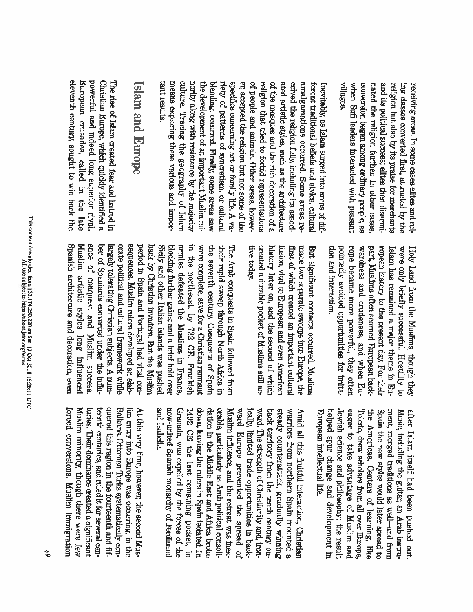villages. religion but also by its praise for merchants when Sufi leaders interacted with peasant conversion began among ordinary people, as nated the religion further. In other cases, and its political success; elites then dissemiing classes converted first, attracted by the receiving areas. In some cases elites and rul-

culture. Tracing the geography of Islam means exploring these various and impornority along with resistance by the majority riety of patterns of syncretism, or cultural specifics concerning art or family life. A vaer, accepted the religion but not some of the of the mosques and the rich decoration of a ated artistic styles, such as the architecture ceived the religion fully, including its associthe development of an important Muslim miblending, occurred. Finally, some areas saw of people and animals. Other areas, howevreligion that tried to forbid representations amalgamations occurred. Some areas referent traditional beliefs and styles, cultural cant results. Inevitably, as Islam surged into areas of dif-

### Islam and Europe

eleventh century, sought to win back the powerful and indeed long superior rival. European crusades, called in the late Christian Europe, which quickly identified a The rise of Islam created fear and hatred in

> rope became more powerful, they often pointedly avoided opportunities for imitawardness and crudeness, and when Eupart, Muslims often scorned European backropean history to the present day. For their tion and interaction. Islam has remained a major theme in Euwere only briefly successful. Hostility to Holy Land from the Muslims, though they

created a durable pocket of Muslims still acmade two separate sweeps into Europe, the tive today. history later on, and the second of which fusion, vital to European and even American first of which created an important cultural But significant contacts occurred. Muslims

ence of conquest and Muslim success. Spanish architecture and decoration, even ber of Spaniards converted under the influ orate political and cultural framework while sequences. Muslim rulers developed an elabperiod in Spain and Portugal had vital conarmies defeated the Muslims in France, Muslim artistic styles long influenced largely tolerating Christian subjects. A numback by Christian invaders. But the Muslim Sicily and other Italian islands was pushed blocking further gains; and a brief hold over in the northeast, by 732 CE. Frankish were complete, save for a Christian remnant the seventh century. Conquests of Spain their rapid sweep through North Africa in The Arab conquests in Spain followed from

> Jewish science and philosophy; the result eager to take advantage of Muslim and Toledo, drew scholars from all over Europe, Spain the new styles would later spread to ment, merged traditions as well-and from after Islam itself had been pushed out. European intellectual life. the Americas. Centers of learning, like helped spur change and development in Music, including the guitar, an Arab instru-

and Isabella. now-united Spanish monarchy of Ferdinand 1492 CE the last remaining pocket, in orable, particularly as Arab political consoliward Europe prevented the spread of ically, limited trade opportunities in backward. The strength of Christianity and, ironback territory from the tenth century onsteady counterattack, gradually winning Granada, was expelled by the forces of the down, leaving the rulers in Spain isolated. In dation in the Middle East and Africa broke Muslim influence, and the retreat was inexwarriors from northern Spain mounted a Amid all this fruitful interaction, Christian

forced conversions. Muslim immigration Muslim minority, though there were few turies. Their dominance created a significant teenth centuries, and ruled it for several cenquered this region in the fourteenth and fif-Balkans. Ottoman Turks systematically con-At this very time, however, the second Muslim entry into Europe was occurring, in the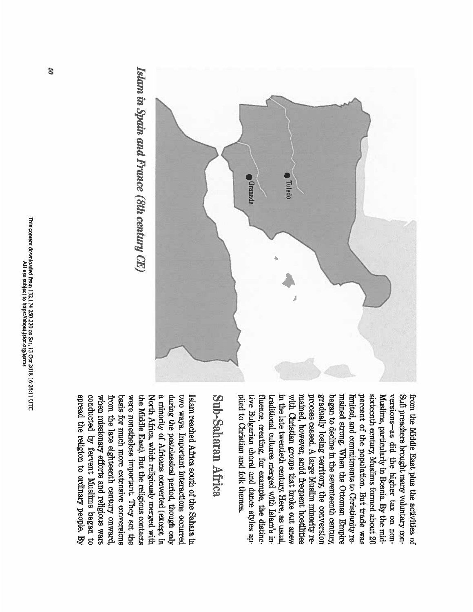

Islam in Spain and France (8th century CE)

plied to Christian and folk themes. with Christian groups that broke out anew mained, however, amid frequent hostilities process ceased. A large Muslim minority regradually losing territory, the conversion began to decline in the seventeenth century, mained strong. When the Ottoman Empire percent of the population. But trade was sixteenth century, Muslims formed about 20 Muslims, particularly in Bosnia. By the midversions-as did the higher tax on non-Sufi preachers brought many voluntary confrom the Middle East plus the activities of tive Bulgarian choral and dance styles aptraditional cultures merged with Islam's inin the late twentieth century. Here, as usual, fluence, creating, for example, the distinclimited, and commitments to Christianity re-

### Sub-Saharan Africa

conducted by fervent Muslims began to a minority of Africans converted (except in spread the religion to ordinary people. By when missionary efforts and religious wars were nonetheless important. They set the during the postclassical period, though only two ways. Important interactions occurred from the late eighteenth century onward, the Middle East). But the religious contacts North Africa, which religiously merged with basis for much more extensive conversions Islam reached Africa south of the Sahara in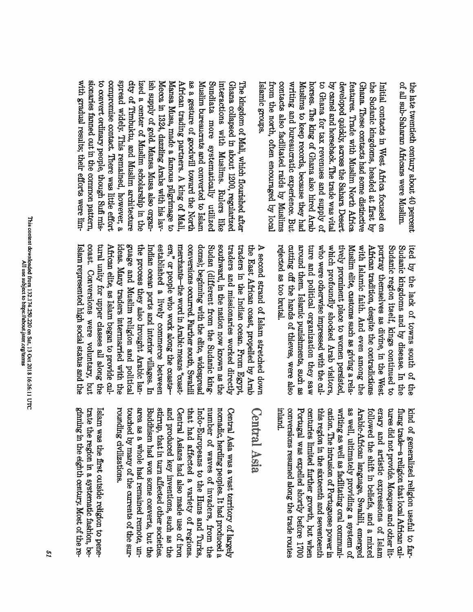of all sub-Saharan Africans were Muslim. the late twentieth century about 40 percent

contacts also facilitated raids by Muslims writing and bureaucratic experience. But to Ghana for tax revenues and supply of developed quickly, across the Sahara Desert Initial contacts in West Africa focused on<br>the Sudanic kingdoms, headed at first by Islamic groups. from the north, often encouraged by local Muslims to keep records, because they had horses. The king of Ghana also hired Arab by camel and horseback. The trade was vital features. Trade with Muslim North Africa Ghana. These contacts had some distinctive

sionaries fanned out in the common pattern, to convert ordinary people, though Sufi misspread widely. This remained, however, a with gradual results; their efforts were limcompromise contact. There was little effort city of Timbuktu, and Muslim architecture ized a center of Muslim scholarship in the ish supply of gold. Mansa Musa also organ-Mecca in 1324, dazzling Arabs with his lav-Mansa Musa, made a famous pilgrimage to African trading partners. A king of Mali, as a gesture of goodwill toward the North Muslim bureaucrats and converted to Islam Sundiata more systematically utilized interactions with Muslims. Rulers like Ghana collapsed in about 1200, regularized The kingdom of Mali, which flourished after

> rejected as too brutal cutting off the hands of thieves, were also around them. Islamic punishments, such as ture and political organization they saw who were otherwise impressed with the culwhich profoundly shocked Arab visitors, tively prominent place to women persisted, with Islamic faith. And even among the ited by the lack of towns south of the Muslim elite, customs such as giving a rela-African tradition, despite the contradictions portray themselves as divine, in the West Sudanic region itself, kings continued to Sudanic kingdoms and by disease. In the

coast. Conversions were voluntary, but tural unity for upper classes all along the established a lively commerce between ers," or people who work along the coastsmerchants-the word in Arabic means "coastconversions occurred. Farther south, Swahill southward, in the nation now known as the lslam represented high social status and the guage and Muslim religion and political the process they also brought Arabic landoms); beginning with the elite, widespread Sudan (different from the Sudanic kingtraders and missionaries worked directly traders in the Indian ocean. From Egypt, the East African coast, propelled by Arab African elite, as Islam began to provide culideas. Many traders intermarried with the Indian ocean ports and interior villages. In A second strand of Islam stretched down

> inland. conversions resurned along the trade routes Portugal was expelled shortly before 1700 centuries limited further growth, but when this region in the sixteenth and seventeenth cation. The intrusion of Portuguese power in writing as well as facilitating oral communias well, ultimately providing a system of followed the shift in beliefs, and a mixed erary and artistic expressions of Islam tures did not provide. Mosques and other litflung trade-a religion that local African cul-Arabic-African language, Swahili, emerged kind of generalized religion useful to far-

### **Central Asia**

rounding civilizations. touched by many of the currents of the surarea as a whole had remained remote, un-Buddhism had won some converts, but the stirrup, that in turn affected other societies. and produced key inventions, such as the Central Asians had also made use of iron that had affected a variety of regions. Indo-Europeans to the Huns and Turks, number of waves of invaders, from the nomadic, herding peoples. It had produced a Central Asia was a vast territory of largely

ginning in the eighth century. Most of the retrate the region in a systematic fashion, be-Islam was the first outside religion to pene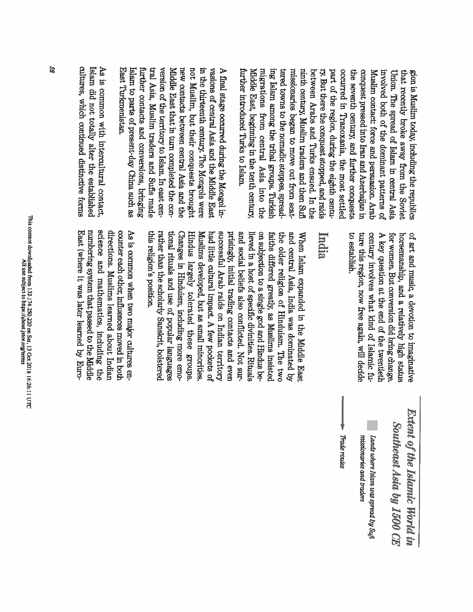further introduced Turks to Islam. Middle East, beginning in the tenth century migrations from central Asia into the ing Islam among the tribal groups. Turkish tered towns to the nomadic steppes, spreadmissionaries began to move out from scatninth century, Muslim traders and then Suff between Arabs and Turks ensued. In the ry. But there the conquest stopped, and raids part of the region, during the eighth centuoccurred in Tranoxania, the most settled the seventh century, and further conquests conquest pressed into Iran and Azerbaijan in Muslim contact: force and persuasion. Arab involved both of the dominant patterns of Union. The spread of Islam in central Asia that recently broke away from the Soviet gion is Muslim today, including the republics

East Turkmenistan further contacts and conversions, bringing tral Asia, Muslim traders and Sufis made version of the territory to Islam. In east cennew contacts between central Asia and the not Muslim, but their conquests brought in the thirteenth century. The Mongols were Islam to parts of present-day China such as Middle East that in turn completed the convasions of central Asia and the Middle East A final stage occurred during the Mongol in-

cultures, which continued distinctive forms As is common with intercultural contact, Islam did not totally alter the established

> to establish. ture this region, now free again, will decide century involves what kind of Islamic fu-A key question at the end of the twentieth for women. But conversion did bring change. horsemanship, and a relatively high status of art and music, a devotion to imaginative

### India

this religion's position. rather than the scholarly Sanskrit, bolstered tional rituals and use of popular languages successful Arab raids on Indian territory Changes in Hinduism, including more emoand social beliefs also conflicted. Not surlieved in a host of specific divinities. Rituals on subjection to a single god and Hindus beand central Asia, India was dominated by Hindus largely tolerated these groups. Muslims developed, but as small minorities. had little cultural impact. A few pockets of prisingly, initial trading contacts and even faiths differed greatly, as Muslims insisted the older religion of Hinduism. The two When Islam expanded in the Middle East

science and mathematics, including the East (where it was later learned by Euro-As is common when two major cultures ennumbering system that passed to the Middle directions. Muslims learned about Indian counter each other, influences moved in both

> Extent of the Islamic World in Southeast Asia by 1500 CE

missionaries and traders Lands where Islam was spread by Suff

Trade routes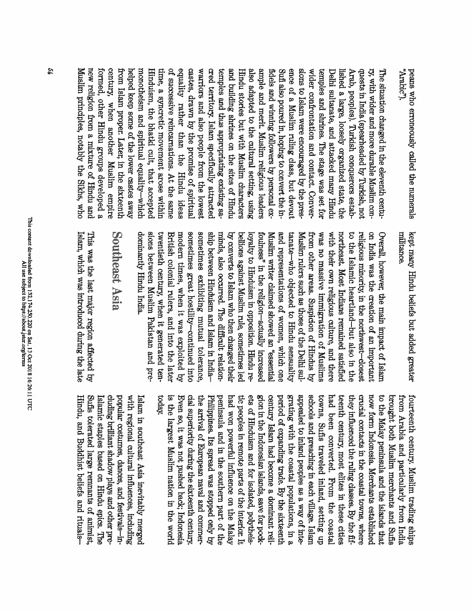"Arabic"). peans who erroneously called the numerals

Muslim principles, notably the Sikhs, who new religion from a mixture of Hindu and formed, other Hindu groups developed a century, when another Muslim empire helped keep some of the lower castes away monotheism and spiritual equality-which equality rather than the Hindu ideas and building shrines on the sites of Hindu also adapted to the cultural setting, using ample and merit. Muslim religious leaders Sufi also poured in, hoping to convert the inence of a Muslim ruling class, but devout from Islam proper. Later, in the sixteenth Hinduism, the bhatki cult, that accepted time, a syncretic movement arose within of successive reincarnations. At the same castes, drawn by the promise of spiritual warriors and also people from the lowest cred territory. Islam specifically attracted temples and thus appropriating existing sa-Hindu stories but with Muslim characters fidels and winning followers by personal exsions to Islam were encouraged by the preswider confrontation and contact. Converternples and shrines. The stage was set for Delhi sultanate, and attacked many Hindu Arab, peoples). Turkish conquerors estabquests in India (spearheaded by Turkish, not ry, with wider and more durable Muslim con-The situation changed in the eleventh centulished a large, loosely organized state, the

> kept many Hindu beliefs but added greater mutance

sions between Muslim Pakistan and presometimes great hostility-continued into sometimes exhibiting mutual tolerance, ship between Hinduism and Islam in Indiawas no massive immigration of Muslims with their own religious culture, and there northeast. Most Indians remained satisfied on India was the creation of an important dominantly Hindu India. twentieth century, when it generated ten-British colonial rulers, and into the later modern times, when it was exploited by minds, also occurred. The difficult relationby converts to Islam who then changed their bellions against Muslim rule, sometimes led foulness" in the religion-actually increased Muslim writer claimed showed an "essential and representations of women, which one tanate-who objected to Hindu sensuality Muslim rulers such as those of the Delhi sulfrom other areas. Suspicion of Hindus by to the Islamic heartland-but also in the religious minority, in the northwest-dosest Overall, however, the main impact of Islam loyalty to Hinduism in opposition. Hindu re-

### Southeast Asia

Islam, which was introduced during the late This was the last major region affected by

> today. fourteenth century. Muslim trading ships Philippines. Its spread was stopped only by had won powerful influence on the Malay ets of Hinduism and for isolated, polytheisgion in the Indonesian islands, save for pockperiod of expanding trade. By the sixteenth grating with the coastal populations, in a appealed to inland peoples as a way of inteschools and preaching in each village. Islam had been converted. From the coastal crucial contacts in the coastal towns, where now form Indonesia. Merchants established is the largest Muslim nation in the world Even so, it was not pushed back; Indonesia cial superiority during the sixteenth century. the arrival of European naval and commerpeninsula and in the southern part of the tic peoples in remote parts of the interior. It century Islam had become a dominant relitowns, Sufis traveled inland, setting up teenth century, most elites in these cities they influenced the ruling classes. By the fifto the Malay peninsula and the islands that from Arabia and particularly from India brought both Muslim merchants and Sufis

with regional cultural influences, including Hindu, and Buddhist beliefs and rituals-Sufis tolerated large remnants of animist, cluding brilliant shadow plays and other prepopular costumes, dances, and festivals-in-Islamic staples based on Hindu epics. The Islam in southeast Asia inevitably merged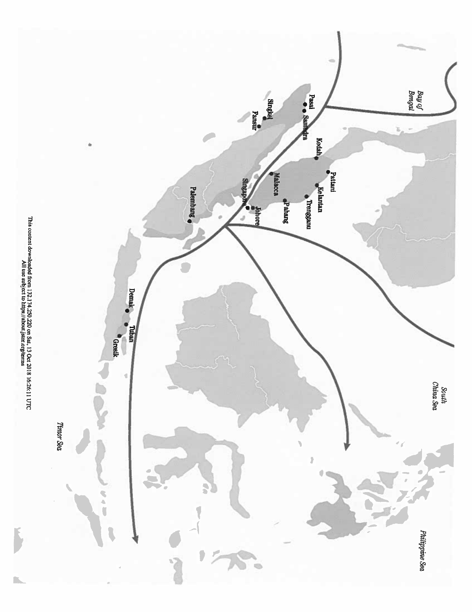